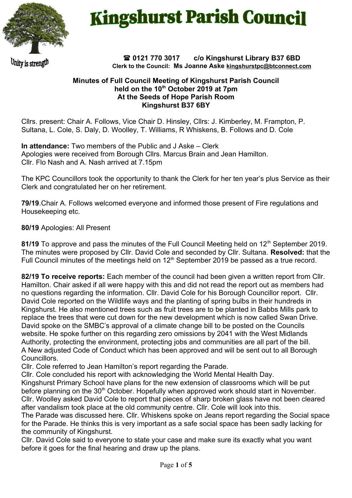

# **Kingshurst Parish Council**

Unity is strengtl

#### **0121 770 3017 c/o Kingshurst Library B37 6BD Clerk to the Council: Ms Joanne Aske [kingshurstpc@btconnect.com](mailto:kingshurstpc@btconnect.com)**

## **Minutes of Full Council Meeting of Kingshurst Parish Council held on the 10th October 2019 at 7pm At the Seeds of Hope Parish Room Kingshurst B37 6BY**

Cllrs. present: Chair A. Follows, Vice Chair D. Hinsley, Cllrs: J. Kimberley, M. Frampton, P. Sultana, L. Cole, S. Daly, D. Woolley, T. Williams, R Whiskens, B. Follows and D. Cole

**In attendance:** Two members of the Public and J Aske – Clerk Apologies were received from Borough Cllrs. Marcus Brain and Jean Hamilton. Cllr. Flo Nash and A. Nash arrived at 7.15pm

The KPC Councillors took the opportunity to thank the Clerk for her ten year's plus Service as their Clerk and congratulated her on her retirement.

**79/19**.Chair A. Follows welcomed everyone and informed those present of Fire regulations and Housekeeping etc.

**80/19** Apologies: All Present

81/19 To approve and pass the minutes of the Full Council Meeting held on 12<sup>th</sup> September 2019. The minutes were proposed by Cllr. David Cole and seconded by Cllr. Sultana. **Resolved:** that the Full Council minutes of the meetings held on  $12<sup>th</sup>$  September 2019 be passed as a true record.

**82/19 To receive reports:** Each member of the council had been given a written report from Cllr. Hamilton. Chair asked if all were happy with this and did not read the report out as members had no questions regarding the information. Cllr. David Cole for his Borough Councillor report. Cllr. David Cole reported on the Wildlife ways and the planting of spring bulbs in their hundreds in Kingshurst. He also mentioned trees such as fruit trees are to be planted in Babbs Mills park to replace the trees that were cut down for the new development which is now called Swan Drive. David spoke on the SMBC's approval of a climate change bill to be posted on the Councils website. He spoke further on this regarding zero omissions by 2041 with the West Midlands Authority, protecting the environment, protecting jobs and communities are all part of the bill. A New adjusted Code of Conduct which has been approved and will be sent out to all Borough Councillors.

Cllr. Cole referred to Jean Hamilton's report regarding the Parade.

Cllr. Cole concluded his report with acknowledging the World Mental Health Day.

Kingshurst Primary School have plans for the new extension of classrooms which will be put before planning on the 30<sup>th</sup> October. Hopefully when approved work should start in November. Cllr. Woolley asked David Cole to report that pieces of sharp broken glass have not been cleared after vandalism took place at the old community centre. Cllr. Cole will look into this.

The Parade was discussed here. Cllr. Whiskens spoke on Jeans report regarding the Social space for the Parade. He thinks this is very important as a safe social space has been sadly lacking for the community of Kingshurst.

Cllr. David Cole said to everyone to state your case and make sure its exactly what you want before it goes for the final hearing and draw up the plans.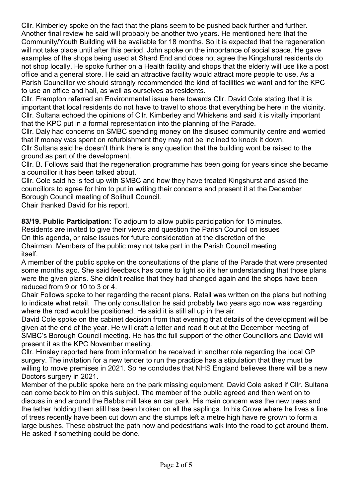Cllr. Kimberley spoke on the fact that the plans seem to be pushed back further and further. Another final review he said will probably be another two years. He mentioned here that the Community/Youth Building will be available for 18 months. So it is expected that the regeneration will not take place until after this period. John spoke on the importance of social space. He gave examples of the shops being used at Shard End and does not agree the Kingshurst residents do not shop locally. He spoke further on a Health facility and shops that the elderly will use like a post office and a general store. He said an attractive facility would attract more people to use. As a Parish Councillor we should strongly recommended the kind of facilities we want and for the KPC to use an office and hall, as well as ourselves as residents.

Cllr. Frampton referred an Environmental issue here towards Cllr. David Cole stating that it is important that local residents do not have to travel to shops that everything be here in the vicinity. Cllr. Sultana echoed the opinions of Cllr. Kimberley and Whiskens and said it is vitally important that the KPC put in a formal representation into the planning of the Parade.

Cllr. Daly had concerns on SMBC spending money on the disused community centre and worried that if money was spent on refurbishment they may not be inclined to knock it down.

Cllr Sultana said he doesn't think there is any question that the building wont be raised to the ground as part of the development.

Cllr. B. Follows said that the regeneration programme has been going for years since she became a councillor it has been talked about.

Cllr. Cole said he is fed up with SMBC and how they have treated Kingshurst and asked the councillors to agree for him to put in writing their concerns and present it at the December Borough Council meeting of Solihull Council.

Chair thanked David for his report.

**83/19. Public Participation:** To adjourn to allow public participation for 15 minutes. Residents are invited to give their views and question the Parish Council on issues On this agenda, or raise issues for future consideration at the discretion of the Chairman. Members of the public may not take part in the Parish Council meeting itself.

A member of the public spoke on the consultations of the plans of the Parade that were presented some months ago. She said feedback has come to light so it's her understanding that those plans were the given plans. She didn't realise that they had changed again and the shops have been reduced from 9 or 10 to 3 or 4.

Chair Follows spoke to her regarding the recent plans. Retail was written on the plans but nothing to indicate what retail. The only consultation he said probably two years ago now was regarding where the road would be positioned. He said it is still all up in the air.

David Cole spoke on the cabinet decision from that evening that details of the development will be given at the end of the year. He will draft a letter and read it out at the December meeting of SMBC's Borough Council meeting. He has the full support of the other Councillors and David will present it as the KPC November meeting.

Cllr. Hinsley reported here from information he received in another role regarding the local GP surgery. The invitation for a new tender to run the practice has a stipulation that they must be willing to move premises in 2021. So he concludes that NHS England believes there will be a new Doctors surgery in 2021.

Member of the public spoke here on the park missing equipment, David Cole asked if Cllr. Sultana can come back to him on this subject. The member of the public agreed and then went on to discuss in and around the Babbs mill lake an car park. His main concern was the new trees and the tether holding them still has been broken on all the saplings. In his Grove where he lives a line of trees recently have been cut down and the stumps left a metre high have re grown to form a large bushes. These obstruct the path now and pedestrians walk into the road to get around them. He asked if something could be done.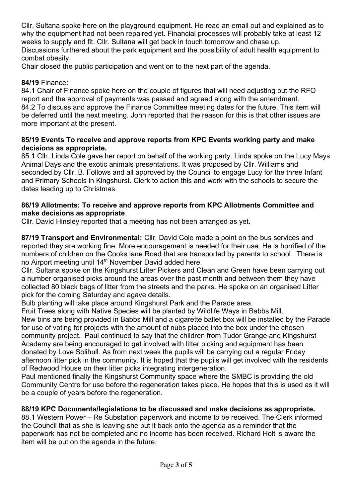Cllr. Sultana spoke here on the playground equipment. He read an email out and explained as to why the equipment had not been repaired yet. Financial processes will probably take at least 12 weeks to supply and fit. Cllr. Sultana will get back in touch tomorrow and chase up. Discussions furthered about the park equipment and the possibility of adult health equipment to combat obesity.

Chair closed the public participation and went on to the next part of the agenda.

## **84/19** Finance:

84.1 Chair of Finance spoke here on the couple of figures that will need adjusting but the RFO report and the approval of payments was passed and agreed along with the amendment. 84.2 To discuss and approve the Finance Committee meeting dates for the future. This item will be deferred until the next meeting. John reported that the reason for this is that other issues are more important at the present.

## **85/19 Events To receive and approve reports from KPC Events working party and make decisions as appropriate.**

85.1 Cllr. Linda Cole gave her report on behalf of the working party. Linda spoke on the Lucy Mays Animal Days and the exotic animals presentations. It was proposed by Cllr. Williams and seconded by Cllr. B. Follows and all approved by the Council to engage Lucy for the three Infant and Primary Schools in Kingshurst. Clerk to action this and work with the schools to secure the dates leading up to Christmas.

## **86/19 Allotments: To receive and approve reports from KPC Allotments Committee and make decisions as appropriate**.

Cllr. David Hinsley reported that a meeting has not been arranged as yet.

**87/19 Transport and Environmental:** Cllr. David Cole made a point on the bus services and reported they are working fine. More encouragement is needed for their use. He is horrified of the numbers of children on the Cooks lane Road that are transported by parents to school. There is no Airport meeting until 14<sup>th</sup> November David added here.

Cllr. Sultana spoke on the Kingshurst Litter Pickers and Clean and Green have been carrying out a number organised picks around the areas over the past month and between them they have collected 80 black bags of litter from the streets and the parks. He spoke on an organised Litter pick for the coming Saturday and agave details.

Bulb planting will take place around Kingshurst Park and the Parade area.

Fruit Trees along with Native Species will be planted by Wildlife Ways in Babbs Mill.

New bins are being provided in Babbs Mill and a cigarette ballet box will be installed by the Parade for use of voting for projects with the amount of nubs placed into the box under the chosen community project. Paul continued to say that the children from Tudor Grange and Kingshurst Academy are being encouraged to get involved with litter picking and equipment has been donated by Love Solihull. As from next week the pupils will be carrying out a regular Friday afternoon litter pick in the community. It is hoped that the pupils will get involved with the residents of Redwood House on their litter picks integrating intergeneration.

Paul mentioned finally the Kingshurst Community space where the SMBC is providing the old Community Centre for use before the regeneration takes place. He hopes that this is used as it will be a couple of years before the regeneration.

# **88/19 KPC Documents/legislations to be discussed and make decisions as appropriate.**

88.1 Western Power – Re Substation paperwork and income to be received. The Clerk informed the Council that as she is leaving she put it back onto the agenda as a reminder that the paperwork has not be completed and no income has been received. Richard Holt is aware the item will be put on the agenda in the future.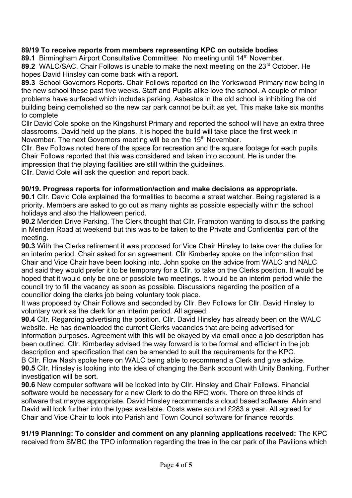## **89/19 To receive reports from members representing KPC on outside bodies**

89.1 Birmingham Airport Consultative Committee: No meeting until 14<sup>th</sup> November.

89.2 WALC/SAC. Chair Follows is unable to make the next meeting on the 23<sup>rd</sup> October. He hopes David Hinsley can come back with a report.

**89.3** School Governors Reports. Chair Follows reported on the Yorkswood Primary now being in the new school these past five weeks. Staff and Pupils alike love the school. A couple of minor problems have surfaced which includes parking. Asbestos in the old school is inhibiting the old building being demolished so the new car park cannot be built as yet. This make take six months to complete

Cllr David Cole spoke on the Kingshurst Primary and reported the school will have an extra three classrooms. David held up the plans. It is hoped the build will take place the first week in November. The next Governors meeting will be on the 15<sup>th</sup> November.

Cllr. Bev Follows noted here of the space for recreation and the square footage for each pupils. Chair Follows reported that this was considered and taken into account. He is under the impression that the playing facilities are still within the guidelines.

Cllr. David Cole will ask the question and report back.

## **90/19. Progress reports for information/action and make decisions as appropriate.**

**90.1** Cllr. David Cole explained the formalities to become a street watcher. Being registered is a priority. Members are asked to go out as many nights as possible especially within the school holidays and also the Halloween period.

**90.2** Meriden Drive Parking. The Clerk thought that Cllr. Frampton wanting to discuss the parking in Meriden Road at weekend but this was to be taken to the Private and Confidential part of the meeting.

**90.3** With the Clerks retirement it was proposed for Vice Chair Hinsley to take over the duties for an interim period. Chair asked for an agreement. Cllr Kimberley spoke on the information that Chair and Vice Chair have been looking into. John spoke on the advice from WALC and NALC and said they would prefer it to be temporary for a Cllr. to take on the Clerks position. It would be hoped that it would only be one or possible two meetings. It would be an interim period while the council try to fill the vacancy as soon as possible. Discussions regarding the position of a councillor doing the clerks job being voluntary took place.

It was proposed by Chair Follows and seconded by Cllr. Bev Follows for Cllr. David Hinsley to voluntary work as the clerk for an interim period. All agreed.

**90.4** Cllr. Regarding advertising the position. Cllr. David Hinsley has already been on the WALC website. He has downloaded the current Clerks vacancies that are being advertised for information purposes. Agreement with this will be okayed by via email once a job description has been outlined. Cllr. Kimberley advised the way forward is to be formal and efficient in the job description and specification that can be amended to suit the requirements for the KPC. B Cllr. Flow Nash spoke here on WALC being able to recommend a Clerk and give advice.

**90.5** Cllr. Hinsley is looking into the idea of changing the Bank account with Unity Banking. Further investigation will be sort.

**90.6** New computer software will be looked into by Cllr. Hinsley and Chair Follows. Financial software would be necessary for a new Clerk to do the RFO work. There on three kinds of software that maybe appropriate. David Hinsley recommends a cloud based software. Alvin and David will look further into the types available. Costs were around £283 a year. All agreed for Chair and Vice Chair to look into Parish and Town Council software for finance records.

**91/19 Planning: To consider and comment on any planning applications received:** The KPC received from SMBC the TPO information regarding the tree in the car park of the Pavilions which